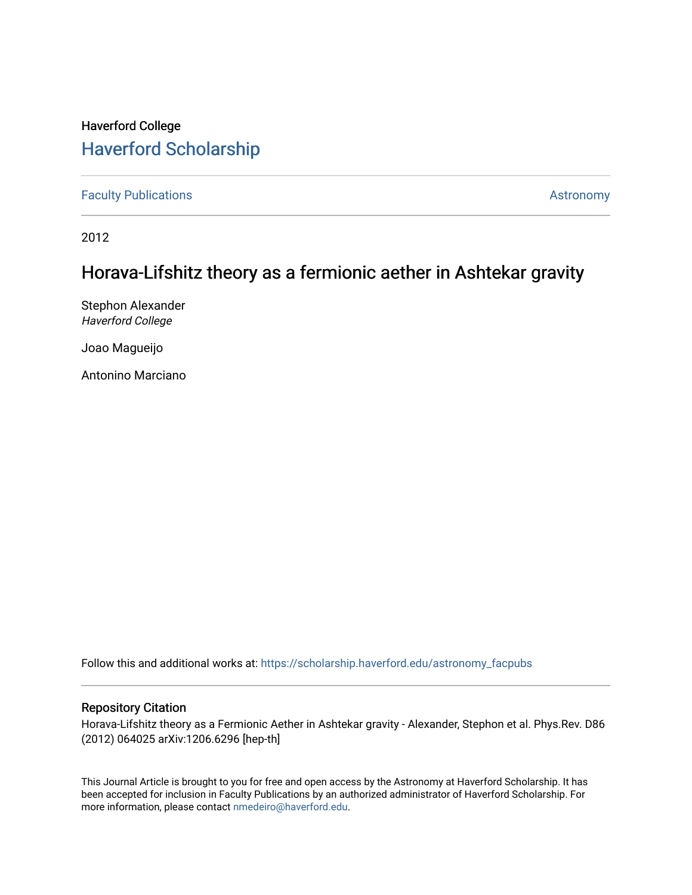# Haverford College [Haverford Scholarship](https://scholarship.haverford.edu/)

[Faculty Publications](https://scholarship.haverford.edu/astronomy_facpubs) **Astronomy Astronomy** 

2012

# Horava-Lifshitz theory as a fermionic aether in Ashtekar gravity

Stephon Alexander Haverford College

Joao Magueijo

Antonino Marciano

Follow this and additional works at: [https://scholarship.haverford.edu/astronomy\\_facpubs](https://scholarship.haverford.edu/astronomy_facpubs?utm_source=scholarship.haverford.edu%2Fastronomy_facpubs%2F270&utm_medium=PDF&utm_campaign=PDFCoverPages)

# Repository Citation

Horava-Lifshitz theory as a Fermionic Aether in Ashtekar gravity - Alexander, Stephon et al. Phys.Rev. D86 (2012) 064025 arXiv:1206.6296 [hep-th]

This Journal Article is brought to you for free and open access by the Astronomy at Haverford Scholarship. It has been accepted for inclusion in Faculty Publications by an authorized administrator of Haverford Scholarship. For more information, please contact [nmedeiro@haverford.edu.](mailto:nmedeiro@haverford.edu)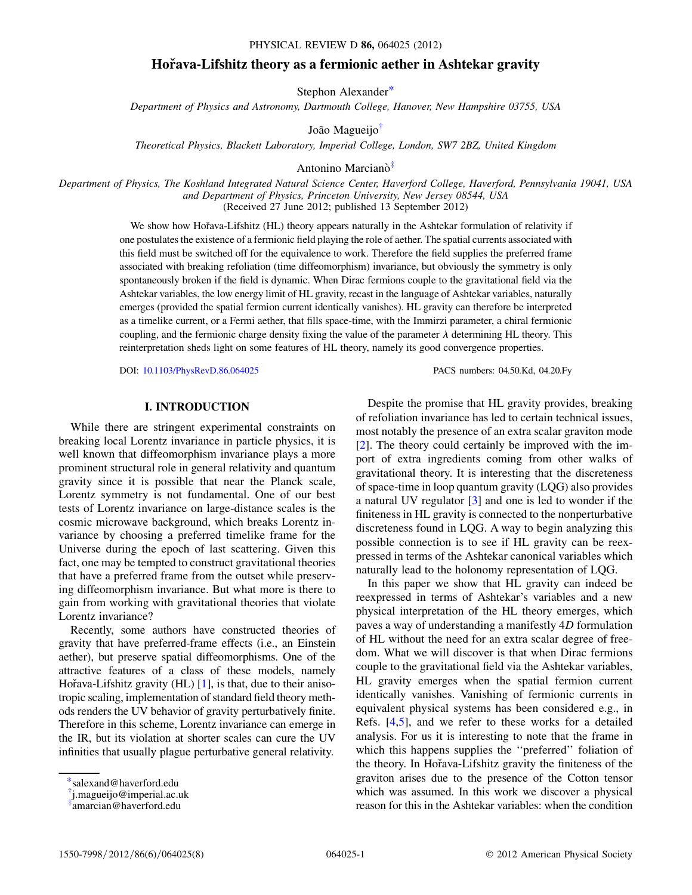# Hořava-Lifshitz theory as a fermionic aether in Ashtekar gravity

Stephon Alexander[\\*](#page-1-0)

<span id="page-1-3"></span>Department of Physics and Astronomy, Dartmouth College, Hanover, New Hampshire 03755, USA

João Magueijo<sup>[†](#page-1-1)</sup>

Theoretical Physics, Blackett Laboratory, Imperial College, London, SW7 2BZ, United Kingdom

Ant[o](#page-1-2)nino Marciano<sup>#</sup>

<span id="page-1-5"></span><span id="page-1-4"></span>Department of Physics, The Koshland Integrated Natural Science Center, Haverford College, Haverford, Pennsylvania 19041, USA and Department of Physics, Princeton University, New Jersey 08544, USA (Received 27 June 2012; published 13 September 2012)

> We show how Hor̆ava-Lifshitz (HL) theory appears naturally in the Ashtekar formulation of relativity if one postulates the existence of a fermionic field playing the role of aether. The spatial currents associated with this field must be switched off for the equivalence to work. Therefore the field supplies the preferred frame associated with breaking refoliation (time diffeomorphism) invariance, but obviously the symmetry is only spontaneously broken if the field is dynamic. When Dirac fermions couple to the gravitational field via the Ashtekar variables, the low energy limit of HL gravity, recast in the language of Ashtekar variables, naturally emerges (provided the spatial fermion current identically vanishes). HL gravity can therefore be interpreted as a timelike current, or a Fermi aether, that fills space-time, with the Immirzi parameter, a chiral fermionic coupling, and the fermionic charge density fixing the value of the parameter  $\lambda$  determining HL theory. This reinterpretation sheds light on some features of HL theory, namely its good convergence properties.

> DOI: [10.1103/PhysRevD.86.064025](http://dx.doi.org/10.1103/PhysRevD.86.064025) PACS numbers: 04.50.Kd, 04.20.Fy

## I. INTRODUCTION

While there are stringent experimental constraints on breaking local Lorentz invariance in particle physics, it is well known that diffeomorphism invariance plays a more prominent structural role in general relativity and quantum gravity since it is possible that near the Planck scale, Lorentz symmetry is not fundamental. One of our best tests of Lorentz invariance on large-distance scales is the cosmic microwave background, which breaks Lorentz invariance by choosing a preferred timelike frame for the Universe during the epoch of last scattering. Given this fact, one may be tempted to construct gravitational theories that have a preferred frame from the outset while preserving diffeomorphism invariance. But what more is there to gain from working with gravitational theories that violate Lorentz invariance?

Recently, some authors have constructed theories of gravity that have preferred-frame effects (i.e., an Einstein aether), but preserve spatial diffeomorphisms. One of the attractive features of a class of these models, namely Hořava-Lifshitz gravity (HL)  $[1]$  $[1]$ , is that, due to their anisotropic scaling, implementation of standard field theory methods renders the UV behavior of gravity perturbatively finite. Therefore in this scheme, Lorentz invariance can emerge in the IR, but its violation at shorter scales can cure the UV infinities that usually plague perturbative general relativity.

Despite the promise that HL gravity provides, breaking of refoliation invariance has led to certain technical issues, most notably the presence of an extra scalar graviton mode [\[2\]](#page-8-1). The theory could certainly be improved with the import of extra ingredients coming from other walks of gravitational theory. It is interesting that the discreteness of space-time in loop quantum gravity (LQG) also provides a natural UV regulator [[3\]](#page-8-2) and one is led to wonder if the finiteness in HL gravity is connected to the nonperturbative discreteness found in LQG. A way to begin analyzing this possible connection is to see if HL gravity can be reexpressed in terms of the Ashtekar canonical variables which naturally lead to the holonomy representation of LQG.

In this paper we show that HL gravity can indeed be reexpressed in terms of Ashtekar's variables and a new physical interpretation of the HL theory emerges, which paves a way of understanding a manifestly 4D formulation of HL without the need for an extra scalar degree of freedom. What we will discover is that when Dirac fermions couple to the gravitational field via the Ashtekar variables, HL gravity emerges when the spatial fermion current identically vanishes. Vanishing of fermionic currents in equivalent physical systems has been considered e.g., in Refs. [\[4](#page-8-3),[5](#page-8-4)], and we refer to these works for a detailed analysis. For us it is interesting to note that the frame in which this happens supplies the ''preferred'' foliation of the theory. In Hořava-Lifshitz gravity the finiteness of the graviton arises due to the presence of the Cotton tensor which was assumed. In this work we discover a physical reason for this in the Ashtekar variables: when the condition

<span id="page-1-0"></span>[<sup>\\*</sup>s](#page-1-3)alexand@haverford.edu

<span id="page-1-1"></span>[<sup>†</sup>](#page-1-4) j.magueijo@imperial.ac.uk

<span id="page-1-2"></span>[<sup>‡</sup>](#page-1-5) amarcian@haverford.edu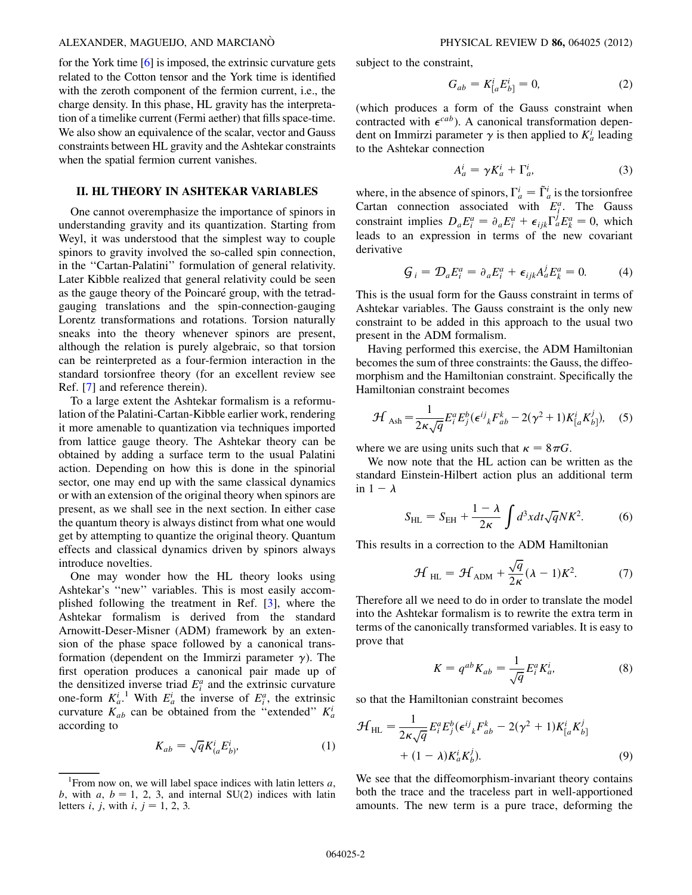#### ALEXANDER, MAGUEIJO, AND MARCIANO` PHYSICAL REVIEW D 86, 064025 (2012)

#### II. HL THEORY IN ASHTEKAR VARIABLES

One cannot overemphasize the importance of spinors in understanding gravity and its quantization. Starting from Weyl, it was understood that the simplest way to couple spinors to gravity involved the so-called spin connection, in the ''Cartan-Palatini'' formulation of general relativity. Later Kibble realized that general relativity could be seen as the gauge theory of the Poincaré group, with the tetradgauging translations and the spin-connection-gauging Lorentz transformations and rotations. Torsion naturally sneaks into the theory whenever spinors are present, although the relation is purely algebraic, so that torsion can be reinterpreted as a four-fermion interaction in the standard torsionfree theory (for an excellent review see Ref. [\[7](#page-8-6)] and reference therein).

To a large extent the Ashtekar formalism is a reformulation of the Palatini-Cartan-Kibble earlier work, rendering it more amenable to quantization via techniques imported from lattice gauge theory. The Ashtekar theory can be obtained by adding a surface term to the usual Palatini action. Depending on how this is done in the spinorial sector, one may end up with the same classical dynamics or with an extension of the original theory when spinors are present, as we shall see in the next section. In either case the quantum theory is always distinct from what one would get by attempting to quantize the original theory. Quantum effects and classical dynamics driven by spinors always introduce novelties.

One may wonder how the HL theory looks using Ashtekar's ''new'' variables. This is most easily accomplished following the treatment in Ref. [[3\]](#page-8-2), where the Ashtekar formalism is derived from the standard Arnowitt-Deser-Misner (ADM) framework by an extension of the phase space followed by a canonical transformation (dependent on the Immirzi parameter  $\gamma$ ). The first operation produces a canonical pair made up of the densitized inverse triad  $E_i^a$  and the extrinsic curvature one-form  $K_a^i$ .<sup>1</sup> With  $E_a^i$  the inverse of  $E_i^a$ , the extrinsic curvature  $K_{ab}$  can be obtained from the "extended"  $K_a^i$ according to

$$
K_{ab} = \sqrt{q} K^i_{(a} E^i_{b)},\tag{1}
$$

subject to the constraint,

$$
G_{ab} = K^i_{[a} E^i_{b]} = 0,
$$
 (2)

(which produces a form of the Gauss constraint when contracted with  $\epsilon^{cab}$ ). A canonical transformation dependent on Immirzi parameter  $\gamma$  is then applied to  $K_a^i$  leading to the Ashtekar connection

$$
A_a^i = \gamma K_a^i + \Gamma_a^i, \tag{3}
$$

where, in the absence of spinors,  $\Gamma_a^i = \tilde{\Gamma}_a^i$  is the torsionfree<br>Cartan connection associated with  $F_a^a$ . The Gauss Cartan connection associated with  $E_i^a$ . The Gauss constraint implies  $D_a E_i^a = \partial_a E_i^a + \epsilon_{ijk} \Gamma_a^j E_k^a = 0$ , which leads to an expression in terms of the new covariant derivative

$$
G_i = \mathcal{D}_a E_i^a = \partial_a E_i^a + \epsilon_{ijk} A_a^j E_k^a = 0. \tag{4}
$$

This is the usual form for the Gauss constraint in terms of Ashtekar variables. The Gauss constraint is the only new constraint to be added in this approach to the usual two present in the ADM formalism.

Having performed this exercise, the ADM Hamiltonian becomes the sum of three constraints: the Gauss, the diffeomorphism and the Hamiltonian constraint. Specifically the Hamiltonian constraint becomes

$$
\mathcal{H}_{\text{Ash}} = \frac{1}{2\kappa\sqrt{q}} E_i^a E_j^b (\epsilon^{ij}{}_k F_{ab}^k - 2(\gamma^2 + 1)K_{[a}^i K_{b]}^j), \quad (5)
$$

where we are using units such that  $\kappa = 8\pi G$ .

<span id="page-2-0"></span>We now note that the HL action can be written as the standard Einstein-Hilbert action plus an additional term in  $1 - \lambda$ 

$$
S_{\rm HL} = S_{\rm EH} + \frac{1 - \lambda}{2\kappa} \int d^3x dt \sqrt{q} N K^2.
$$
 (6)

This results in a correction to the ADM Hamiltonian

$$
\mathcal{H}_{\text{ HL}} = \mathcal{H}_{\text{ADM}} + \frac{\sqrt{q}}{2\kappa} (\lambda - 1) K^2. \tag{7}
$$

Therefore all we need to do in order to translate the model into the Ashtekar formalism is to rewrite the extra term in terms of the canonically transformed variables. It is easy to prove that

$$
K = q^{ab} K_{ab} = \frac{1}{\sqrt{q}} E_i^a K_a^i, \tag{8}
$$

so that the Hamiltonian constraint becomes

$$
\mathcal{H}_{HL} = \frac{1}{2\kappa\sqrt{q}} E_i^a E_j^b (\epsilon^{ij}{}_k F_{ab}^k - 2(\gamma^2 + 1)K_{[a}^i K_{b]}^j
$$

$$
+ (1 - \lambda)K_a^i K_b^j).
$$
(9)

We see that the diffeomorphism-invariant theory contains both the trace and the traceless part in well-apportioned amounts. The new term is a pure trace, deforming the

<sup>&</sup>lt;sup>1</sup> From now on, we will label space indices with latin letters  $a$ , b, with a,  $b = 1, 2, 3$ , and internal SU(2) indices with latin letters  $i, j$ , with  $i, j = 1, 2, 3$ .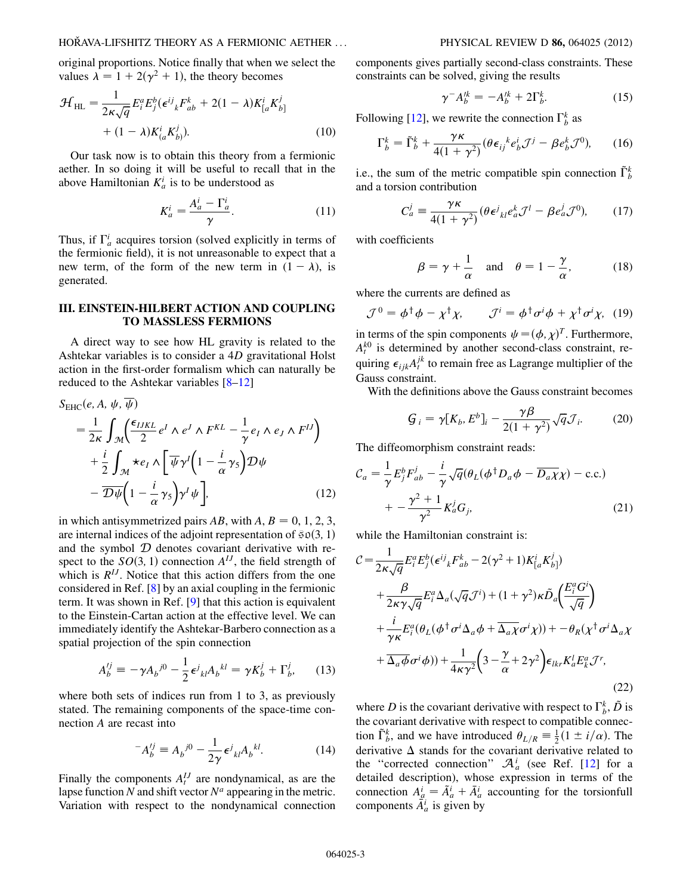original proportions. Notice finally that when we select the values  $\lambda = 1 + 2(\gamma^2 + 1)$ , the theory becomes

$$
\mathcal{H}_{HL} = \frac{1}{2\kappa\sqrt{q}} E_i^a E_j^b (\epsilon^{ij}{}_k F_{ab}^k + 2(1-\lambda)K_{[a}^i K_{b]}^j
$$

$$
+ (1-\lambda)K_{(a}^i K_{b)}^j).
$$
(10)

Our task now is to obtain this theory from a fermionic aether. In so doing it will be useful to recall that in the above Hamiltonian  $K_a^i$  is to be understood as

$$
K_a^i = \frac{A_a^i - \Gamma_a^i}{\gamma}.
$$
 (11)

Thus, if  $\Gamma_a^i$  acquires torsion (solved explicitly in terms of the fermionic field), it is not unreasonable to expect that a new term, of the form of the new term in  $(1 - \lambda)$ , is generated generated.

# III. EINSTEIN-HILBERT ACTION AND COUPLING TO MASSLESS FERMIONS

A direct way to see how HL gravity is related to the Ashtekar variables is to consider a 4D gravitational Holst action in the first-order formalism which can naturally be reduced to the Ashtekar variables [\[8–](#page-8-7)[12](#page-8-8)]

<span id="page-3-2"></span>
$$
S_{\text{EHC}}(e, A, \psi, \overline{\psi})
$$
  
=  $\frac{1}{2\kappa} \int_{\mathcal{M}} \left( \frac{\epsilon_{IJKL}}{2} e^{I} \wedge e^{J} \wedge F^{KL} - \frac{1}{\gamma} e_{I} \wedge e_{J} \wedge F^{IJ} \right)$   
+  $\frac{i}{2} \int_{\mathcal{M}} \star e_{I} \wedge \left[ \overline{\psi} \gamma^{I} \left( 1 - \frac{i}{\alpha} \gamma_{5} \right) \mathcal{D} \psi$   
-  $\overline{\mathcal{D}\psi} \left( 1 - \frac{i}{\alpha} \gamma_{5} \right) \gamma^{I} \psi \right],$  (12)

in which antisymmetrized pairs AB, with  $A, B = 0, 1, 2, 3$ , are internal indices of the adjoint representation of  $\mathfrak{so}(3, 1)$ and the symbol  $D$  denotes covariant derivative with respect to the  $SO(3, 1)$  connection  $A<sup>IJ</sup>$ , the field strength of which is  $R^{IJ}$ . Notice that this action differs from the one considered in Ref. [\[8\]](#page-8-7) by an axial coupling in the fermionic term. It was shown in Ref. [\[9\]](#page-8-9) that this action is equivalent to the Einstein-Cartan action at the effective level. We can immediately identify the Ashtekar-Barbero connection as a spatial projection of the spin connection

$$
A_b^{ij} \equiv -\gamma A_b{}^{j0} - \frac{1}{2} \epsilon^j{}_{kl} A_b{}^{kl} = \gamma K_b^j + \Gamma_b^j, \qquad (13)
$$

where both sets of indices run from 1 to 3, as previously stated. The remaining components of the space-time connection A are recast into

$$
A_b^{ij} \equiv A_b^{j0} - \frac{1}{2\gamma} \epsilon^j{}_{kl} A_b^{kl}.\tag{14}
$$

Finally the components  $A_t^I$  are nondynamical, as are the lapse function N and shift vector  $N^a$  appearing in the metric. Variation with respect to the nondynamical connection components gives partially second-class constraints. These constraints can be solved, giving the results

$$
\gamma^{-} A_b^{\prime k} = -A_b^{\prime k} + 2\Gamma_b^k. \tag{15}
$$

Following [\[12\]](#page-8-8), we rewrite the connection  $\Gamma_b^k$  as

$$
\Gamma_b^k = \tilde{\Gamma}_b^k + \frac{\gamma \kappa}{4(1+\gamma^2)} (\theta \epsilon_{ij}^k e_b^i \mathcal{J}^j - \beta e_b^k \mathcal{J}^0), \qquad (16)
$$

i.e., the sum of the metric compatible spin connection  $\tilde{\Gamma}_b^k$ and a torsion contribution

$$
C_a^j = \frac{\gamma \kappa}{4(1+\gamma^2)} (\theta \epsilon^j_{kl} e_a^k \mathcal{J}^l - \beta e_a^j \mathcal{J}^0), \qquad (17)
$$

with coefficients

$$
\beta = \gamma + \frac{1}{\alpha} \quad \text{and} \quad \theta = 1 - \frac{\gamma}{\alpha}, \tag{18}
$$

where the currents are defined as

$$
\mathcal{J}^0 = \phi^{\dagger} \phi - \chi^{\dagger} \chi, \qquad \mathcal{J}^i = \phi^{\dagger} \sigma^i \phi + \chi^{\dagger} \sigma^i \chi, \tag{19}
$$

in terms of the spin components  $\psi = (\phi, \chi)^T$ . Furthermore,<br>  $A^{k0}$  is determined by another second-class constraint re- $A_t^{k0}$  is determined by another second-class constraint, requiring  $\epsilon_{ijk}A_i^{jk}$  to remain free as Lagrange multiplier of the Gauss constraint.

<span id="page-3-0"></span>With the definitions above the Gauss constraint becomes

$$
G_i = \gamma [K_b, E^b]_i - \frac{\gamma \beta}{2(1 + \gamma^2)} \sqrt{q} \mathcal{J}_i. \tag{20}
$$

The diffeomorphism constraint reads:

$$
\mathcal{C}_a = \frac{1}{\gamma} E_j^b F_{ab}^j - \frac{i}{\gamma} \sqrt{q} (\theta_L (\phi^\dagger D_a \phi - \overline{D_a \chi} \chi) - \text{c.c.})
$$

$$
+ - \frac{\gamma^2 + 1}{\gamma^2} K_a^j G_j, \tag{21}
$$

<span id="page-3-1"></span>while the Hamiltonian constraint is:

$$
\mathcal{C} = \frac{1}{2\kappa\sqrt{q}} E_i^a E_j^b (\epsilon^{ij}{}_k F_{ab}^k - 2(\gamma^2 + 1) K_{[a}^i K_{b]}^j) \n+ \frac{\beta}{2\kappa\gamma\sqrt{q}} E_i^a \Delta_a (\sqrt{q}\mathcal{J}^i) + (1 + \gamma^2) \kappa \tilde{D}_a \left( \frac{E_i^a G^i}{\sqrt{q}} \right) \n+ \frac{i}{\gamma \kappa} E_i^a (\theta_L (\phi^\dagger \sigma^i \Delta_a \phi + \overline{\Delta_a \chi} \sigma^i \chi)) + -\theta_R (\chi^\dagger \sigma^i \Delta_a \chi) \n+ \overline{\Delta_a \phi} \sigma^i \phi)) + \frac{1}{4\kappa\gamma^2} \left( 3 - \frac{\gamma}{\alpha} + 2\gamma^2 \right) \epsilon_{lkr} K_a^l E_k^a \mathcal{J}^r,
$$
\n(22)

where D is the covariant derivative with respect to  $\Gamma_b^k$ ,  $\tilde{D}$  is the covariant derivative with respect to compatible connection  $\tilde{\Gamma}_b^k$ , and we have introduced  $\theta_{L/R} \equiv \frac{1}{2} (1 \pm i/\alpha)$ . The derivative  $\Delta$  stands for the covariant derivative related to the "corrected connection"  $\mathcal{A}_a^i$  (see Ref. [\[12](#page-8-8)] for a detailed description), whose expression in terms of the connection  $A_a^i = \tilde{A}_a^i + \bar{A}_a^i$  accounting for the torsionfull components  $\bar{A}^i$  is given by components  $\ddot{A}^i_a$  is given by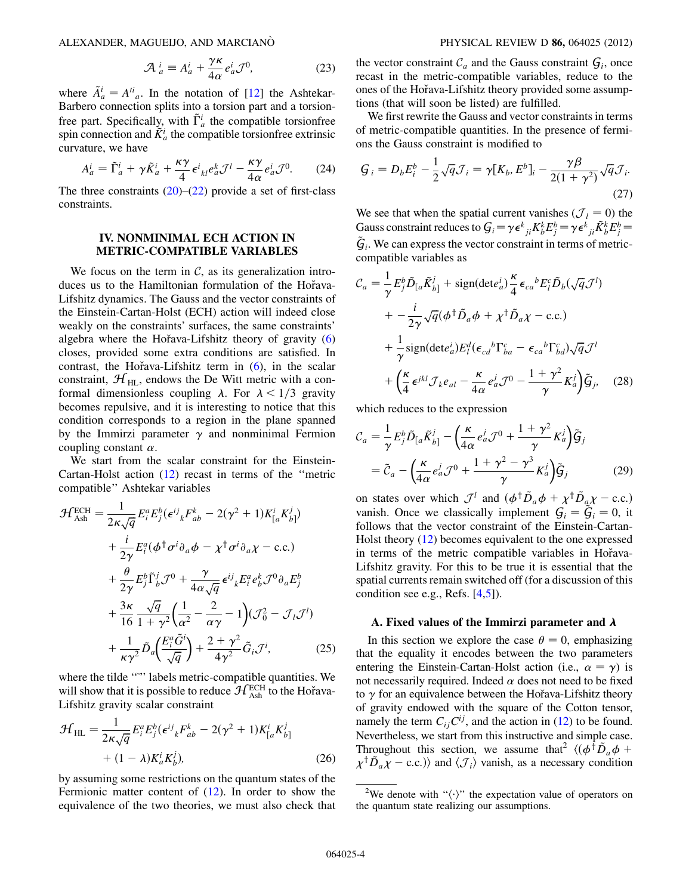ALEXANDER, MAGUEIJO, AND MARCIANÒ PHYSICAL REVIEW D 86, 064025 (2012)

$$
\mathcal{A}_{a}^{i} \equiv A_{a}^{i} + \frac{\gamma \kappa}{4\alpha} e_{a}^{i} \mathcal{J}^{0}, \qquad (23)
$$

where  $\tilde{A}_a^i = A^{\prime i}{}_a$ . In the notation of [[12](#page-8-8)] the Ashtekar-<br>Barbero connection splits into a torsion part and a torsion-Barbero connection splits into a torsion part and a torsionfree part. Specifically, with  $\tilde{\Gamma}_a^i$  the compatible torsionfree spin connection and  $\tilde{K}_a^i$  the compatible torsionfree extrinsic curvature, we have

$$
A_a^i = \tilde{\Gamma}_a^i + \gamma \tilde{K}_a^i + \frac{\kappa \gamma}{4} \epsilon^i_{kl} e_a^k \mathcal{J}^l - \frac{\kappa \gamma}{4\alpha} e_a^i \mathcal{J}^0. \tag{24}
$$

The three constraints  $(20)$  $(20)$ – $(22)$  $(22)$  provide a set of first-class constraints.

## IV. NONMINIMAL ECH ACTION IN METRIC-COMPATIBLE VARIABLES

We focus on the term in  $C$ , as its generalization introduces us to the Hamiltonian formulation of the Hořava-Lifshitz dynamics. The Gauss and the vector constraints of the Einstein-Cartan-Holst (ECH) action will indeed close weakly on the constraints' surfaces, the same constraints' algebra where the Hor̃ava-Lifshitz theory of gravity  $(6)$ closes, provided some extra conditions are satisfied. In contrast, the Hořava-Lifshitz term in  $(6)$ , in the scalar constraint,  $\mathcal{H}_{\text{HI}}$ , endows the De Witt metric with a conformal dimensionless coupling  $\lambda$ . For  $\lambda < 1/3$  gravity becomes repulsive, and it is interesting to notice that this condition corresponds to a region in the plane spanned by the Immirzi parameter  $\gamma$  and nonminimal Fermion coupling constant  $\alpha$ .

We start from the scalar constraint for the Einstein-Cartan-Holst action ([12\)](#page-3-2) recast in terms of the ''metric compatible'' Ashtekar variables

<span id="page-4-0"></span>
$$
\mathcal{H}_{\text{Ash}}^{\text{ECH}} = \frac{1}{2\kappa\sqrt{q}} E_i^a E_j^b (\epsilon^{ij}{}_{k} F_{ab}^k - 2(\gamma^2 + 1) K_{[a}^i K_{b]}^j) \n+ \frac{i}{2\gamma} E_i^a (\phi^\dagger \sigma^i \partial_a \phi - \chi^\dagger \sigma^i \partial_a \chi - \text{c.c.}) \n+ \frac{\theta}{2\gamma} E_j^b \tilde{\Gamma}_b^j \mathcal{J}^0 + \frac{\gamma}{4\alpha\sqrt{q}} \epsilon^{ij}{}_{k} E_i^a e_b^k \mathcal{J}^0 \partial_a E_j^b \n+ \frac{3\kappa}{16} \frac{\sqrt{q}}{1 + \gamma^2} \left(\frac{1}{\alpha^2} - \frac{2}{\alpha\gamma} - 1\right) (\mathcal{J}_0^2 - \mathcal{J}_1 \mathcal{J}^l) \n+ \frac{1}{\kappa \gamma^2} \tilde{D}_a \left(\frac{E_i^a \tilde{G}^i}{\sqrt{q}}\right) + \frac{2 + \gamma^2}{4\gamma^2} \tilde{G}_i \mathcal{J}^i, \tag{25}
$$

where the tilde """ labels metric-compatible quantities. We will show that it is possible to reduce  $\mathcal{H}^{\text{ECH}}_{\text{Ash}}$  to the Hořava-Lifshitz gravity scalar constraint

$$
\mathcal{H}_{HL} = \frac{1}{2\kappa\sqrt{q}} E_i^a E_j^b (\epsilon^{ij}{}_k F_{ab}^k - 2(\gamma^2 + 1)K_{[a}^i K_{b]}^j
$$

$$
+ (1 - \lambda)K_a^i K_b^j), \tag{26}
$$

by assuming some restrictions on the quantum states of the Fermionic matter content of  $(12)$  $(12)$  $(12)$ . In order to show the equivalence of the two theories, we must also check that the vector constraint  $C_a$  and the Gauss constraint  $G_i$ , once recast in the metric-compatible variables, reduce to the ones of the Hořava-Lifshitz theory provided some assumptions (that will soon be listed) are fulfilled.

We first rewrite the Gauss and vector constraints in terms of metric-compatible quantities. In the presence of fermions the Gauss constraint is modified to

$$
G_i = D_b E_i^b - \frac{1}{2} \sqrt{q} \mathcal{J}_i = \gamma [K_b, E^b]_i - \frac{\gamma \beta}{2(1 + \gamma^2)} \sqrt{q} \mathcal{J}_i.
$$
\n(27)

We see that when the spatial current vanishes ( $\mathcal{J}_l = 0$ ) the Gauss constraint reduces to  $G_i = \gamma \epsilon^k_{ji} K_b^k E_j^b = \gamma \epsilon^k_{ji} \tilde{K}_b^k E_j^b = \tilde{C}$ . We see survey the vector constraint in terms of matrix  $\tilde{G}_i$ . We can express the vector constraint in terms of metriccompatible variables as

$$
\mathcal{C}_{a} = \frac{1}{\gamma} E_{j}^{b} \tilde{D}_{[a} \tilde{K}_{b]}^{j} + \text{sign}(\det e_{a}^{i}) \frac{\kappa}{4} \epsilon_{ca}{}^{b} E_{l}^{c} \tilde{D}_{b} (\sqrt{q} \mathcal{J}^{l}) \n+ - \frac{i}{2\gamma} \sqrt{q} (\phi^{\dagger} \tilde{D}_{a} \phi + \chi^{\dagger} \tilde{D}_{a} \chi - \text{c.c.}) \n+ \frac{1}{\gamma} \text{sign}(\det e_{a}^{i}) E_{l}^{d} (\epsilon_{cd}{}^{b} \Gamma_{ba}^{c} - \epsilon_{ca}{}^{b} \Gamma_{bd}^{c}) \sqrt{q} \mathcal{J}^{l} \n+ \left( \frac{\kappa}{4} \epsilon^{jkl} \mathcal{J}_{k} e_{al} - \frac{\kappa}{4\alpha} e_{a}^{j} \mathcal{J}^{0} - \frac{1 + \gamma^{2}}{\gamma} K_{a}^{j} \right) \tilde{G}_{j}, \quad (28)
$$

which reduces to the expression

$$
\mathcal{C}_a = \frac{1}{\gamma} E_j^b \tilde{D}_{[a} \tilde{K}_{b]}^j - \left( \frac{\kappa}{4\alpha} e_a^j \mathcal{J}^0 + \frac{1 + \gamma^2}{\gamma} K_a^j \right) \tilde{\mathcal{G}}_j
$$
  
=  $\tilde{\mathcal{C}}_a - \left( \frac{\kappa}{4\alpha} e_a^j \mathcal{J}^0 + \frac{1 + \gamma^2 - \gamma^3}{\gamma} K_a^j \right) \tilde{\mathcal{G}}_j$  (29)

on states over which  $\mathcal{J}^l$  and  $(\phi^{\dagger} \tilde{D}_a \phi + \chi^{\dagger} \tilde{D}_a \chi - \text{c.c.})$ <br>vanish. Once we classically implement  $G_i = \tilde{G}_i = 0$  it vanish. Once we classically implement  $G_i = \tilde{G}_i = 0$ , it<br>follows that the vector constraint of the Einstein-Cartanfollows that the vector constraint of the Einstein-Cartan-Holst theory [\(12\)](#page-3-2) becomes equivalent to the one expressed in terms of the metric compatible variables in Hořava-Lifshitz gravity. For this to be true it is essential that the spatial currents remain switched off (for a discussion of this condition see e.g., Refs. [[4](#page-8-3),[5\]](#page-8-4)).

#### A. Fixed values of the Immirzi parameter and  $\lambda$

In this section we explore the case  $\theta = 0$ , emphasizing that the equality it encodes between the two parameters entering the Einstein-Cartan-Holst action (i.e.,  $\alpha = \gamma$ ) is<br>not necessarily required Indeed  $\alpha$  does not need to be fixed not necessarily required. Indeed  $\alpha$  does not need to be fixed to  $\gamma$  for an equivalence between the Hořava-Lifshitz theory of gravity endowed with the square of the Cotton tensor, namely the term  $C_{ii}C^{ij}$ , and the action in [\(12](#page-3-2)) to be found. Nevertheless, we start from this instructive and simple case. Throughout this section, we assume that<sup>2</sup>  $\langle (\phi^\dagger \tilde{D}_a \phi +$  $\chi^{\dagger} \tilde{D}_a \chi$  – c.c.)) and  $\langle \mathcal{J}_i \rangle$  vanish, as a necessary condition

<sup>&</sup>lt;sup>2</sup>We denote with " $\langle \cdot \rangle$ " the expectation value of operators on equantum state realizing our assumptions. the quantum state realizing our assumptions.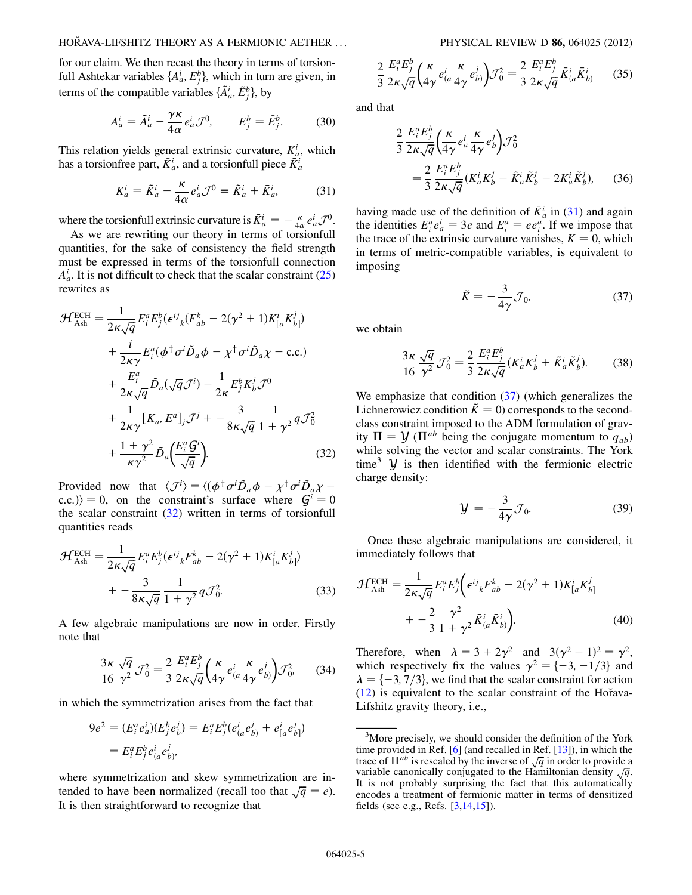for our claim. We then recast the theory in terms of torsionfull Ashtekar variables  $\{A_a^i, E_j^b\}$ , which in turn are given, in terms of the compatible variables  $\{\tilde{A}^i_a, \tilde{E}^b_j\}$ , by

$$
A_a^i = \tilde{A}_a^i - \frac{\gamma \kappa}{4\alpha} e_a^i \mathcal{J}^0, \qquad E_j^b = \tilde{E}_j^b.
$$
 (30)

<span id="page-5-1"></span>This relation yields general extrinsic curvature,  $K_a^i$ , which has a torsionfree part,  $\tilde{K}_a^i$ , and a torsionfull piece  $\overline{\tilde{K}}_a^i$ 

$$
K_a^i = \tilde{K}_a^i - \frac{\kappa}{4\alpha} e_a^i \mathcal{J}^0 \equiv \tilde{K}_a^i + \bar{K}_a^i, \tag{31}
$$

where the torsionfull extrinsic curvature is  $\bar{K}_a^i = -\frac{\kappa}{4\alpha} e_a^i \mathcal{J}^0$ .

As we are rewriting our theory in terms of torsionfull quantities, for the sake of consistency the field strength must be expressed in terms of the torsionfull connection  $A_a^i$ . It is not difficult to check that the scalar constraint [\(25\)](#page-4-0) rewrites as

<span id="page-5-0"></span>
$$
\mathcal{H}_{\text{Ash}}^{\text{ECH}} = \frac{1}{2\kappa\sqrt{q}} E_i^a E_j^b (\epsilon^{ij}{}_k (F_{ab}^k - 2(\gamma^2 + 1) K_{[a}^i K_{b]}^j)
$$
  
+ 
$$
\frac{i}{2\kappa\gamma} E_i^a (\phi^\dagger \sigma^i \tilde{D}_a \phi - \chi^\dagger \sigma^i \tilde{D}_a \chi - \text{c.c.})
$$
  
+ 
$$
\frac{E_i^a}{2\kappa\sqrt{q}} \tilde{D}_a (\sqrt{q} \mathcal{J}^i) + \frac{1}{2\kappa} E_j^b K_b^j \mathcal{J}^0
$$
  
+ 
$$
\frac{1}{2\kappa\gamma} [K_a, E^a]_j \mathcal{J}^j + - \frac{3}{8\kappa\sqrt{q}} \frac{1}{1 + \gamma^2} q \mathcal{J}_0^2
$$
  
+ 
$$
\frac{1 + \gamma^2}{\kappa\gamma^2} \tilde{D}_a \left( \frac{E_i^a \mathcal{G}^i}{\sqrt{q}} \right).
$$
(32)

Provided now that  $\langle \mathcal{J}^i \rangle = \langle (\phi^\dagger \sigma^i \tilde{D}_a \phi - \chi^\dagger \sigma^i \tilde{D}_a \chi \rangle$ <br>c c \) = 0, on the constraint's surface where  $G^i$  = c.c.)) = 0, on the constraint's surface where  $\vec{G}^i = 0$ <br>the scalar constraint (32) written in terms of torsionfull the scalar constraint [\(32\)](#page-5-0) written in terms of torsionfull quantities reads

$$
\mathcal{H}_{\text{Ash}}^{\text{ECH}} = \frac{1}{2\kappa\sqrt{q}} E_i^a E_j^b (\epsilon^{ij}{}_{k} F_{ab}^k - 2(\gamma^2 + 1) K_{[a}^i K_{b]}^i) + -\frac{3}{8\kappa\sqrt{q}} \frac{1}{1 + \gamma^2} q \mathcal{J}_0^2.
$$
 (33)

A few algebraic manipulations are now in order. Firstly note that

$$
\frac{3\kappa}{16} \frac{\sqrt{q}}{\gamma^2} \mathcal{J}_0^2 = \frac{2}{3} \frac{E_i^a E_j^b}{2\kappa \sqrt{q}} \left( \frac{\kappa}{4\gamma} e_{(a}^i \frac{\kappa}{4\gamma} e_{b)}^j \right) \mathcal{J}_0^2, \qquad (34)
$$

in which the symmetrization arises from the fact that

$$
9e2 = (Eia eii)(Ejb ejj) = Eia Ejb (e(ai ebj) + e[ai ejj)]
$$
  
= E<sub>i</sub><sup>a</sup> E<sub>j</sub><sup>b</sup> e<sub>(a</sub><sup>j</sup> e<sub>j</sub><sup>j</sup>),

where symmetrization and skew symmetrization are intended to have been normalized (recall too that  $\sqrt{q} = e$ ).<br>It is then straightforward to recognize that It is then straightforward to recognize that

$$
\frac{2}{3} \frac{E_i^a E_j^b}{2\kappa \sqrt{q}} \left(\frac{\kappa}{4\gamma} e_{(a}^i \frac{\kappa}{4\gamma} e_{b)}^j\right) \mathcal{J}_0^2 = \frac{2}{3} \frac{E_i^a E_j^b}{2\kappa \sqrt{q}} \bar{K}_{(a}^i \bar{K}_{b)}^i \qquad (35)
$$

and that

$$
\frac{2}{3} \frac{E_i^a E_j^b}{2\kappa \sqrt{q}} \left( \frac{\kappa}{4\gamma} e_a^i \frac{\kappa}{4\gamma} e_b^j \right) \mathcal{J}_0^2
$$
  
= 
$$
\frac{2}{3} \frac{E_i^a E_j^b}{2\kappa \sqrt{q}} (K_a^i K_b^j + \tilde{K}_a^i \tilde{K}_b^j - 2K_a^i \tilde{K}_b^j), \qquad (36)
$$

<span id="page-5-2"></span>having made use of the definition of  $\overline{K}_a^i$  in [\(31\)](#page-5-1) and again the identities  $E_i^a e_a^i = 3e$  and  $E_i^a = ee_i^a$ . If we impose that the trace of the extrinsic curvature vanishes  $K = 0$  which the trace of the extrinsic curvature vanishes,  $K = 0$ , which in terms of metric-compatible variables, is equivalent to imposing

$$
\tilde{K} = -\frac{3}{4\gamma} \mathcal{J}_0, \tag{37}
$$

we obtain

$$
\frac{3\kappa}{16} \frac{\sqrt{q}}{\gamma^2} \mathcal{J}_0^2 = \frac{2}{3} \frac{E_i^a E_j^b}{2\kappa \sqrt{q}} (K_a^i K_b^j + \tilde{K}_a^i \tilde{K}_b^j). \tag{38}
$$

We emphasize that condition  $(37)$  (which generalizes the Lichnerowicz condition  $\tilde{K} = 0$ ) corresponds to the secondclass constraint imposed to the ADM formulation of gravity  $\Pi = \mathcal{Y} (\Pi^{ab}$  being the conjugate momentum to  $q_{ab}$ ) while solving the vector and scalar constraints. The York time<sup>3</sup>  $\dot{y}$  is then identified with the fermionic electric charge density:

$$
\mathbf{y} = -\frac{3}{4\gamma} \mathcal{J}_0. \tag{39}
$$

Once these algebraic manipulations are considered, it immediately follows that

$$
\mathcal{H}_{\text{Ash}}^{\text{ECH}} = \frac{1}{2\kappa\sqrt{q}} E_i^a E_j^b \left( \epsilon^{ij}{}_k F_{ab}^k - 2(\gamma^2 + 1) K_{[a}^i K_{b]}^j + -\frac{2}{3} \frac{\gamma^2}{1 + \gamma^2} \bar{K}_{(a}^i \bar{K}_{b)}^i \right).
$$
\n(40)

Therefore, when  $\lambda = 3 + 2\gamma^2$  and  $3(\gamma^2 + 1)^2 = \gamma^2$ ,<br>which respectively fix the values  $\gamma^2 = \{-3, -1/3\}$  and which respectively fix the values  $\gamma^2 = \{-3, -1/3\}$  and  $\lambda = \{-3, 7/3\}$  we find that the scalar constraint for action  $\lambda = \{-3, 7/3\}$ , we find that the scalar constraint for action<br>(12) is equivalent to the scalar constraint of the Hořava- $(12)$  is equivalent to the scalar constraint of the Hor̃ava-Lifshitz gravity theory, i.e.,

<sup>&</sup>lt;sup>3</sup>More precisely, we should consider the definition of the York time provided in Ref. [[6\]](#page-8-5) (and recalled in Ref. [\[13\]](#page-8-10)), in which the trace of  $\Pi^{ab}$  is rescaled by the inverse of  $\sqrt{q}$  in order to provide a variable canonically conjugated to the Hamiltonian density  $\sqrt{q}$ . It is not probably surprising the fact that this automatically encodes a treatment of fermionic matter in terms of densitized fields (see e.g., Refs. [[3,](#page-8-2)[14](#page-8-11),[15](#page-8-12)]).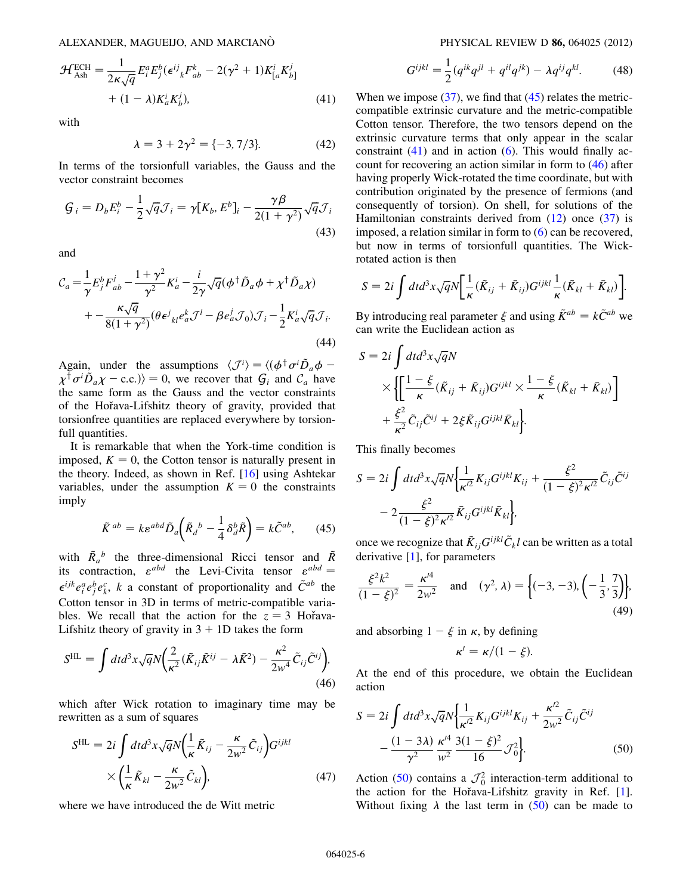<span id="page-6-1"></span>
$$
\mathcal{H}_{\text{Ash}}^{\text{ECH}} = \frac{1}{2\kappa\sqrt{q}} E_i^a E_j^b (\epsilon^{ij}{}_k F_{ab}^k - 2(\gamma^2 + 1) K_{[a}^i K_{b]}^j
$$

$$
+ (1 - \lambda) K_a^i K_b^j), \tag{41}
$$

with

$$
\lambda = 3 + 2\gamma^2 = \{-3, 7/3\}.
$$
 (42)

In terms of the torsionfull variables, the Gauss and the vector constraint becomes

$$
G_i = D_b E_i^b - \frac{1}{2} \sqrt{q} \mathcal{J}_i = \gamma [K_b, E^b]_i - \frac{\gamma \beta}{2(1 + \gamma^2)} \sqrt{q} \mathcal{J}_i
$$
\n(43)

and

$$
\mathcal{C}_a = \frac{1}{\gamma} E^b_j F^j_{ab} - \frac{1 + \gamma^2}{\gamma^2} K^i_a - \frac{i}{2\gamma} \sqrt{q} (\phi^{\dagger} \tilde{D}_a \phi + \chi^{\dagger} \tilde{D}_a \chi) \n+ - \frac{\kappa \sqrt{q}}{8(1 + \gamma^2)} (\theta \epsilon^j_{kl} e^k_a \mathcal{J}^l - \beta e^j_a \mathcal{J}_0) \mathcal{J}_i - \frac{1}{2} K^i_a \sqrt{q} \mathcal{J}_i.
$$
\n(44)

Again, under the assumptions  $\langle \mathcal{J}^i \rangle = \langle (\phi^\dagger \sigma^i \tilde{D}_a \phi - \sigma^i \sigma^i \tilde{D}_b \phi - \sigma^i \sigma^i \tilde{D}_b \phi - \sigma^i \sigma^i \tilde{D}_b \phi - \sigma^i \sigma^i \tilde{D}_b \phi - \sigma^i \sigma^i \tilde{D}_b \phi - \sigma^i \tilde{D}_b \phi - \sigma^i \tilde{D}_b \phi$  $\chi^{\dagger} \sigma^i \tilde{D}_a \chi - \text{c.c.}$ ) = 0, we recover that  $G_i$  and  $C_a$  have<br>the same form as the Gauss and the vector constraints the same form as the Gauss and the vector constraints of the Hořava-Lifshitz theory of gravity, provided that torsionfree quantities are replaced everywhere by torsionfull quantities.

It is remarkable that when the York-time condition is imposed,  $K = 0$ , the Cotton tensor is naturally present in the theory. Indeed, as shown in Ref. [\[16\]](#page-8-13) using Ashtekar variables, under the assumption  $K = 0$  the constraints imply

<span id="page-6-0"></span>
$$
\tilde{K}^{ab} = k \varepsilon^{abd} \tilde{D}_a \left( \tilde{R}_d{}^b - \frac{1}{4} \delta_d^b \tilde{R} \right) = k \tilde{C}^{ab}, \qquad (45)
$$

with  $\tilde{R}_a^b$  the three-dimensional Ricci tensor and  $\tilde{R}$ its contraction,  $\varepsilon^{abd}$  the Levi-Civita tensor  $\varepsilon^{abd} =$ <br> $\frac{d^{ik} \cdot d \cdot b \cdot c}{dt}$  is constant of approximation of  $\tilde{c}^{ab}$  the  $\epsilon^{ijk} e_i^a e_j^b e_k^c$ , k a constant of proportionality and  $\tilde{C}^{ab}$  the Cotton tensor in 3D in terms of metric-compatible variables. We recall that the action for the  $z = 3$  Hor̃ava-Lifshitz theory of gravity in  $3 + 1D$  takes the form

<span id="page-6-2"></span>
$$
S^{\text{HL}} = \int dt d^3x \sqrt{q} N \left( \frac{2}{\kappa^2} (\tilde{K}_{ij} \tilde{K}^{ij} - \lambda \tilde{K}^2) - \frac{\kappa^2}{2w^4} \tilde{C}_{ij} \tilde{C}^{ij} \right), \tag{46}
$$

which after Wick rotation to imaginary time may be rewritten as a sum of squares

$$
S^{\text{HL}} = 2i \int dt d^3x \sqrt{q} N \left( \frac{1}{\kappa} \tilde{K}_{ij} - \frac{\kappa}{2w^2} \tilde{C}_{ij} \right) G^{ijkl} \times \left( \frac{1}{\kappa} \tilde{K}_{kl} - \frac{\kappa}{2w^2} \tilde{C}_{kl} \right), \tag{47}
$$

where we have introduced the de Witt metric

$$
G^{ijkl} = \frac{1}{2} (q^{ik} q^{jl} + q^{il} q^{jk}) - \lambda q^{ij} q^{kl}.
$$
 (48)

When we impose  $(37)$  $(37)$ , we find that  $(45)$  $(45)$  $(45)$  relates the metriccompatible extrinsic curvature and the metric-compatible Cotton tensor. Therefore, the two tensors depend on the extrinsic curvature terms that only appear in the scalar constraint  $(41)$  and in action  $(6)$ . This would finally account for recovering an action similar in form to [\(46\)](#page-6-2) after having properly Wick-rotated the time coordinate, but with contribution originated by the presence of fermions (and consequently of torsion). On shell, for solutions of the Hamiltonian constraints derived from  $(12)$  once  $(37)$  is imposed, a relation similar in form to ([6](#page-2-0)) can be recovered, but now in terms of torsionfull quantities. The Wickrotated action is then

$$
S = 2i \int dt d^3x \sqrt{q} N \left[ \frac{1}{\kappa} (\tilde{K}_{ij} + \bar{K}_{ij}) G^{ijkl} \frac{1}{\kappa} (\tilde{K}_{kl} + \bar{K}_{kl}) \right].
$$

By introducing real parameter  $\zeta$  and using  $\tilde{K}^{ab} = k\tilde{C}^{ab}$  we can write the Euclidean action as

$$
S = 2i \int dt d^3x \sqrt{q}N
$$
  
 
$$
\times \left\{ \left[ \frac{1 - \xi}{\kappa} (\tilde{K}_{ij} + \bar{K}_{ij}) G^{ijkl} \times \frac{1 - \xi}{\kappa} (\tilde{K}_{kl} + \bar{K}_{kl}) \right] + \frac{\xi^2}{\kappa^2} \tilde{C}_{ij} \tilde{C}^{ij} + 2\xi \tilde{K}_{ij} G^{ijkl} \bar{K}_{kl} \right\}.
$$

This finally becomes

$$
S = 2i \int dt d^3x \sqrt{q} N \left\{ \frac{1}{\kappa'^2} K_{ij} G^{ijkl} K_{ij} + \frac{\xi^2}{(1 - \xi)^2 \kappa'^2} \tilde{C}_{ij} \tilde{C}^{ij} - 2 \frac{\xi^2}{(1 - \xi)^2 \kappa'^2} \bar{K}_{ij} G^{ijkl} \bar{K}_{kl} \right\},
$$

once we recognize that  $\tilde{K}_{ij}G^{ijkl}\tilde{C}_{k}l$  can be written as a total derivative [[1\]](#page-8-0), for parameters

<span id="page-6-4"></span>
$$
\frac{\xi^2 k^2}{(1-\xi)^2} = \frac{\kappa'^4}{2w^2} \quad \text{and} \quad (\gamma^2, \lambda) = \left\{ (-3, -3), \left( -\frac{1}{3}, \frac{7}{3} \right) \right\},\tag{49}
$$

and absorbing  $1 - \xi$  in  $\kappa$ , by defining

$$
\kappa'=\kappa/(1-\xi).
$$

At the end of this procedure, we obtain the Euclidean action

<span id="page-6-3"></span>
$$
S = 2i \int dt d^{3}x \sqrt{q} N \left\{ \frac{1}{\kappa'^{2}} K_{ij} G^{ijkl} K_{ij} + \frac{\kappa'^{2}}{2w^{2}} \tilde{C}_{ij} \tilde{C}^{ij} - \frac{(1 - 3\lambda)}{\gamma^{2}} \frac{\kappa'^{4}}{w^{2}} \frac{3(1 - \xi)^{2}}{16} \mathcal{J}_{0}^{2} \right\}.
$$
 (50)

Action [\(50](#page-6-3)) contains a  $\mathcal{J}_0^2$  interaction-term additional to the action for the Hořava-Lifshitz gravity in Ref. [[1\]](#page-8-0). Without fixing  $\lambda$  the last term in ([50](#page-6-3)) can be made to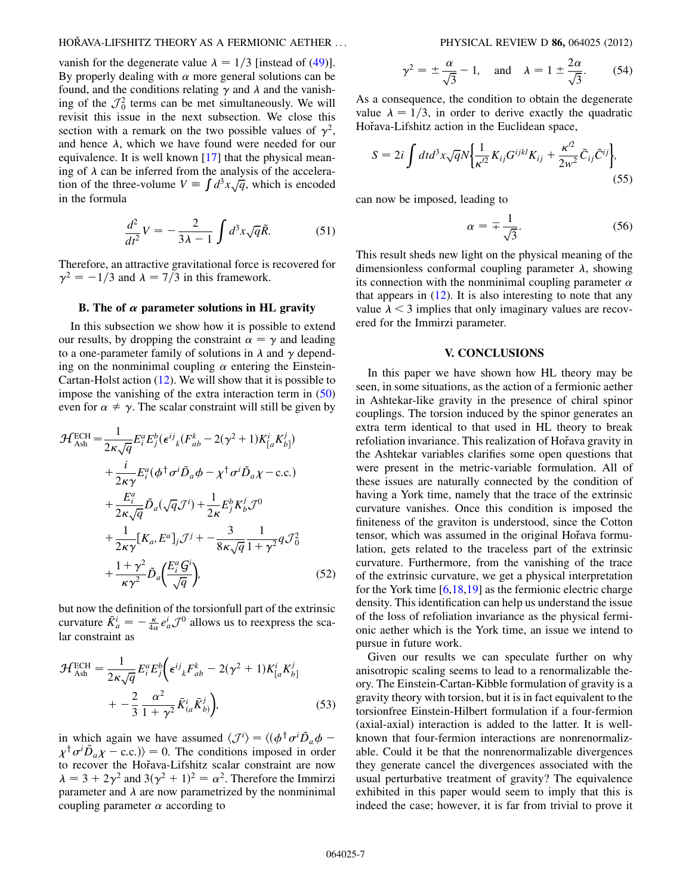#### HOŘAVA-LIFSHITZ THEORY AS A FERMIONIC AETHER ... PHYSICAL REVIEW D 86, 064025 (2012)

vanish for the degenerate value  $\lambda = 1/3$  [instead of [\(49](#page-6-4))]. By properly dealing with  $\alpha$  more general solutions can be found, and the conditions relating  $\gamma$  and  $\lambda$  and the vanishing of the  $\mathcal{J}_0^2$  terms can be met simultaneously. We will revisit this issue in the next subsection. We close this section with a remark on the two possible values of  $\gamma^2$ , and hence  $\lambda$ , which we have found were needed for our equivalence. It is well known [[17](#page-8-14)] that the physical meaning of  $\lambda$  can be inferred from the analysis of the acceleration of the three-volume  $V = \int d^3x \sqrt{q}$ , which is encoded<br>in the formula in the formula

$$
\frac{d^2}{dt^2}V = -\frac{2}{3\lambda - 1} \int d^3x \sqrt{q}\tilde{R}.
$$
 (51)

Therefore, an attractive gravitational force is recovered for  $\gamma^2 = -1/3$  and  $\lambda = 7/3$  in this framework.

## B. The of  $\alpha$  parameter solutions in HL gravity

In this subsection we show how it is possible to extend our results, by dropping the constraint  $\alpha = \gamma$  and leading to a one-parameter family of solutions in  $\lambda$  and  $\gamma$  dependto a one-parameter family of solutions in  $\lambda$  and  $\gamma$  depending on the nonminimal coupling  $\alpha$  entering the Einstein-Cartan-Holst action ([12](#page-3-2)). We will show that it is possible to impose the vanishing of the extra interaction term in [\(50\)](#page-6-3) even for  $\alpha \neq \gamma$ . The scalar constraint will still be given by

$$
\mathcal{H}_{\text{Ash}}^{\text{ECH}} = \frac{1}{2\kappa\sqrt{q}} E_i^a E_j^b (\epsilon^{ij}{}_k (F_{ab}^k - 2(\gamma^2 + 1)K_{[a}^i K_{b]}^i)
$$
  
+ 
$$
\frac{i}{2\kappa\gamma} E_i^a (\phi^\dagger \sigma^i \tilde{D}_a \phi - \chi^\dagger \sigma^i \tilde{D}_a \chi - \text{c.c.})
$$
  
+ 
$$
\frac{E_i^a}{2\kappa\sqrt{q}} \tilde{D}_a (\sqrt{q} \mathcal{J}^i) + \frac{1}{2\kappa} E_j^b K_b^j \mathcal{J}^0
$$
  
+ 
$$
\frac{1}{2\kappa\gamma} [K_a, E^a]_j \mathcal{J}^j + - \frac{3}{8\kappa\sqrt{q}} \frac{1}{1 + \gamma^2} q \mathcal{J}_0^2
$$
  
+ 
$$
\frac{1 + \gamma^2}{\kappa\gamma^2} \tilde{D}_a \left( \frac{E_i^a \mathcal{G}^i}{\sqrt{q}} \right), \tag{52}
$$

but now the definition of the torsionfull part of the extrinsic curvature  $\bar{K}_a^i = -\frac{\kappa}{4\alpha} e_a^i \mathcal{J}^0$  allows us to reexpress the scalar constraint as

$$
\mathcal{H}_{\text{Ash}}^{\text{ECH}} = \frac{1}{2\kappa\sqrt{q}} E_i^a E_j^b \left( \epsilon^{ij}{}_k F_{ab}^k - 2(\gamma^2 + 1) K_{[a}^i K_{b]}^j + -\frac{2}{3} \frac{\alpha^2}{1 + \gamma^2} \bar{K}_{(a}^i \bar{K}_{b)}^j \right),
$$
\n(53)

in which again we have assumed  $\langle \mathcal{J}^i \rangle = \langle (\phi^\dagger \sigma^i \tilde{D}_a \phi - \sigma^i \tilde{D}_b \sigma^i \tilde{D}_b \sigma^j \tilde{D}_b \sigma^j \tilde{D}_b \sigma^j \tilde{D}_b \sigma^j \tilde{D}_b \sigma^j \tilde{D}_b \sigma^j \tilde{D}_b \sigma^j \tilde{D}_b \sigma^j \tilde{D}_b \sigma^j \tilde{D}_b \sigma^j \tilde{D}_b \sigma^j \tilde{D}_b \sigma^j \tilde{D}_b \$  $\chi^{\dagger} \sigma^i \tilde{D}_a \chi - \text{c.c.}$ ) = 0. The conditions imposed in order<br>to recover the Hořava-Lifshitz scalar constraint are now to recover the Hořava-Lifshitz scalar constraint are now  $\lambda = 3 + 2\gamma^2$  and  $3(\gamma^2 + 1)^2 = \alpha^2$ . Therefore the Immirzi parameter and  $\lambda$  are now parametrized by the nonminimal coupling parameter  $\alpha$  according to

$$
\gamma^2 = \pm \frac{\alpha}{\sqrt{3}} - 1
$$
, and  $\lambda = 1 \pm \frac{2\alpha}{\sqrt{3}}$ . (54)

As a consequence, the condition to obtain the degenerate value  $\lambda = 1/3$ , in order to derive exactly the quadratic Hořava-Lifshitz action in the Euclidean space,

$$
S = 2i \int dt d^3x \sqrt{q} N \left\{ \frac{1}{\kappa'^2} K_{ij} G^{ijkl} K_{ij} + \frac{\kappa'^2}{2w^2} \tilde{C}_{ij} \tilde{C}^{ij} \right\},\tag{55}
$$

can now be imposed, leading to

$$
\alpha = \pm \frac{1}{\sqrt{3}}.\tag{56}
$$

This result sheds new light on the physical meaning of the dimensionless conformal coupling parameter  $\lambda$ , showing its connection with the nonminimal coupling parameter  $\alpha$ that appears in  $(12)$  $(12)$  $(12)$ . It is also interesting to note that any value  $\lambda$  < 3 implies that only imaginary values are recovered for the Immirzi parameter.

## V. CONCLUSIONS

In this paper we have shown how HL theory may be seen, in some situations, as the action of a fermionic aether in Ashtekar-like gravity in the presence of chiral spinor couplings. The torsion induced by the spinor generates an extra term identical to that used in HL theory to break refoliation invariance. This realization of Hor̃ava gravity in the Ashtekar variables clarifies some open questions that were present in the metric-variable formulation. All of these issues are naturally connected by the condition of having a York time, namely that the trace of the extrinsic curvature vanishes. Once this condition is imposed the finiteness of the graviton is understood, since the Cotton tensor, which was assumed in the original Hořava formulation, gets related to the traceless part of the extrinsic curvature. Furthermore, from the vanishing of the trace of the extrinsic curvature, we get a physical interpretation for the York time  $[6,18,19]$  $[6,18,19]$  $[6,18,19]$  $[6,18,19]$  $[6,18,19]$  $[6,18,19]$  as the fermionic electric charge density. This identification can help us understand the issue of the loss of refoliation invariance as the physical fermionic aether which is the York time, an issue we intend to pursue in future work.

Given our results we can speculate further on why anisotropic scaling seems to lead to a renormalizable theory. The Einstein-Cartan-Kibble formulation of gravity is a gravity theory with torsion, but it is in fact equivalent to the torsionfree Einstein-Hilbert formulation if a four-fermion (axial-axial) interaction is added to the latter. It is wellknown that four-fermion interactions are nonrenormalizable. Could it be that the nonrenormalizable divergences they generate cancel the divergences associated with the usual perturbative treatment of gravity? The equivalence exhibited in this paper would seem to imply that this is indeed the case; however, it is far from trivial to prove it